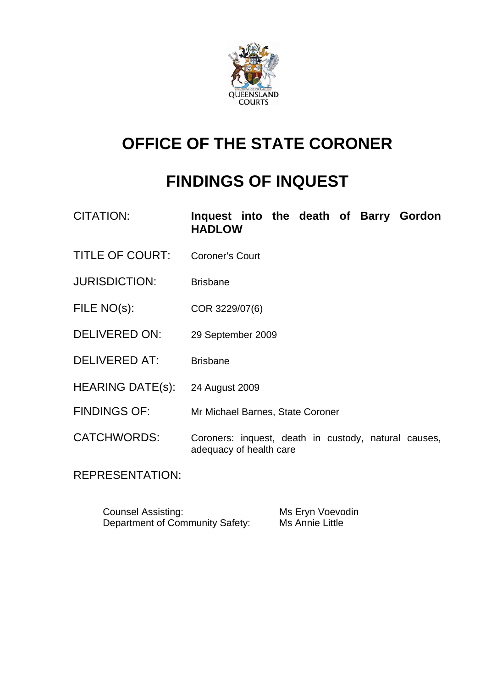

## **OFFICE OF THE STATE CORONER**

# **FINDINGS OF INQUEST**

| CITATION:               | Inquest into the death of Barry Gordon<br><b>HADLOW</b>                         |
|-------------------------|---------------------------------------------------------------------------------|
| <b>TITLE OF COURT:</b>  | <b>Coroner's Court</b>                                                          |
| <b>JURISDICTION:</b>    | <b>Brisbane</b>                                                                 |
| FILE NO(s):             | COR 3229/07(6)                                                                  |
| <b>DELIVERED ON:</b>    | 29 September 2009                                                               |
| <b>DELIVERED AT:</b>    | <b>Brisbane</b>                                                                 |
| <b>HEARING DATE(s):</b> | 24 August 2009                                                                  |
| <b>FINDINGS OF:</b>     | Mr Michael Barnes, State Coroner                                                |
| <b>CATCHWORDS:</b>      | Coroners: inquest, death in custody, natural causes,<br>adequacy of health care |

REPRESENTATION:

Counsel Assisting: Ms Eryn Voevodin<br>Department of Community Safety: Ms Annie Little Department of Community Safety: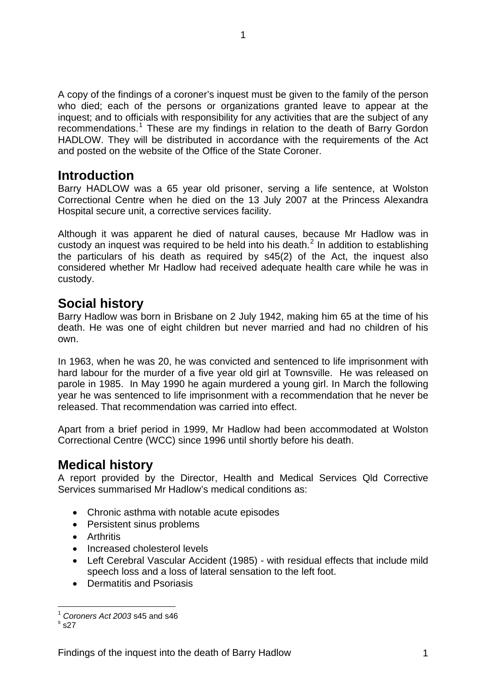<span id="page-2-0"></span>A copy of the findings of a coroner's inquest must be given to the family of the person who died; each of the persons or organizations granted leave to appear at the inquest; and to officials with responsibility for any activities that are the subject of any recommendations.<sup>[1](#page-2-1)</sup> These are my findings in relation to the death of Barry Gordon HADLOW. They will be distributed in accordance with the requirements of the Act and posted on the website of the Office of the State Coroner.

## **Introduction**

Barry HADLOW was a 65 year old prisoner, serving a life sentence, at Wolston Correctional Centre when he died on the 13 July 2007 at the Princess Alexandra Hospital secure unit, a corrective services facility.

Although it was apparent he died of natural causes, because Mr Hadlow was in custody an inquest was required to be held into his death. $^2$  $^2$  In addition to establishing the particulars of his death as required by s45(2) of the Act, the inquest also considered whether Mr Hadlow had received adequate health care while he was in custody.

## **Social history**

Barry Hadlow was born in Brisbane on 2 July 1942, making him 65 at the time of his death. He was one of eight children but never married and had no children of his own.

In 1963, when he was 20, he was convicted and sentenced to life imprisonment with hard labour for the murder of a five year old girl at Townsville. He was released on parole in 1985. In May 1990 he again murdered a young girl. In March the following year he was sentenced to life imprisonment with a recommendation that he never be released. That recommendation was carried into effect.

Apart from a brief period in 1999, Mr Hadlow had been accommodated at Wolston Correctional Centre (WCC) since 1996 until shortly before his death.

## **Medical history**

A report provided by the Director, Health and Medical Services Qld Corrective Services summarised Mr Hadlow's medical conditions as:

- Chronic asthma with notable acute episodes
- Persistent sinus problems
- Arthritis
- Increased cholesterol levels
- Left Cerebral Vascular Accident (1985) with residual effects that include mild speech loss and a loss of lateral sensation to the left foot.
- Dermatitis and Psoriasis

<span id="page-2-1"></span>l  $<sup>1</sup>$  *Coroners Act 2003* s45 and s46</sup>

<span id="page-2-2"></span> $s_{S27}$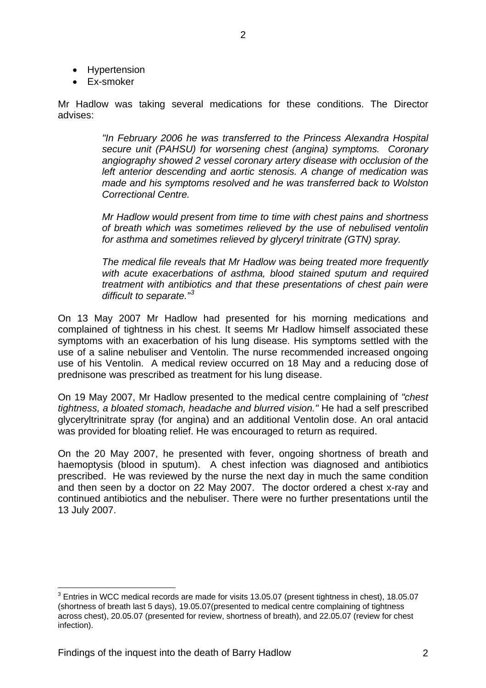- Hypertension
- Ex-smoker

Mr Hadlow was taking several medications for these conditions. The Director advises:

> *"In February 2006 he was transferred to the Princess Alexandra Hospital secure unit (PAHSU) for worsening chest (angina) symptoms. Coronary angiography showed 2 vessel coronary artery disease with occlusion of the left anterior descending and aortic stenosis. A change of medication was made and his symptoms resolved and he was transferred back to Wolston Correctional Centre.*

> *Mr Hadlow would present from time to time with chest pains and shortness of breath which was sometimes relieved by the use of nebulised ventolin for asthma and sometimes relieved by glyceryl trinitrate (GTN) spray.*

> *The medical file reveals that Mr Hadlow was being treated more frequently with acute exacerbations of asthma, blood stained sputum and required treatment with antibiotics and that these presentations of chest pain were difficult to separate."[3](#page-3-0)*

On 13 May 2007 Mr Hadlow had presented for his morning medications and complained of tightness in his chest. It seems Mr Hadlow himself associated these symptoms with an exacerbation of his lung disease. His symptoms settled with the use of a saline nebuliser and Ventolin. The nurse recommended increased ongoing use of his Ventolin. A medical review occurred on 18 May and a reducing dose of prednisone was prescribed as treatment for his lung disease.

On 19 May 2007, Mr Hadlow presented to the medical centre complaining of *"chest tightness, a bloated stomach, headache and blurred vision."* He had a self prescribed glyceryltrinitrate spray (for angina) and an additional Ventolin dose. An oral antacid was provided for bloating relief. He was encouraged to return as required.

On the 20 May 2007, he presented with fever, ongoing shortness of breath and haemoptysis (blood in sputum). A chest infection was diagnosed and antibiotics prescribed. He was reviewed by the nurse the next day in much the same condition and then seen by a doctor on 22 May 2007. The doctor ordered a chest x-ray and continued antibiotics and the nebuliser. There were no further presentations until the 13 July 2007.

l

<span id="page-3-0"></span> $^3$  Entries in WCC medical records are made for visits 13.05.07 (present tightness in chest), 18.05.07 (shortness of breath last 5 days), 19.05.07(presented to medical centre complaining of tightness across chest), 20.05.07 (presented for review, shortness of breath), and 22.05.07 (review for chest infection).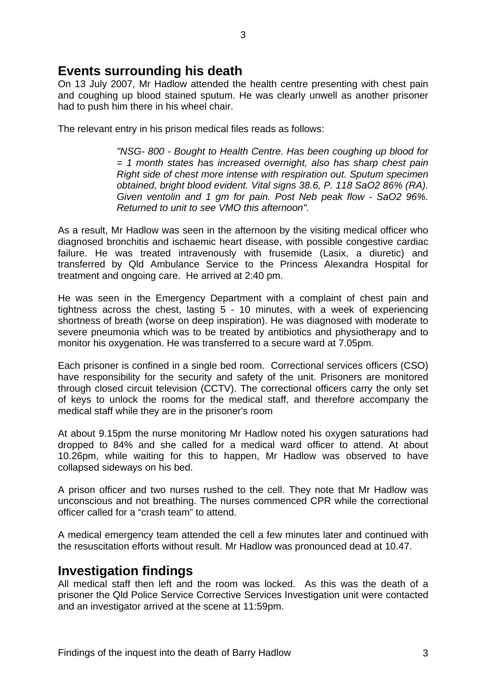## <span id="page-4-0"></span>**Events surrounding his death**

On 13 July 2007, Mr Hadlow attended the health centre presenting with chest pain and coughing up blood stained sputum. He was clearly unwell as another prisoner had to push him there in his wheel chair.

The relevant entry in his prison medical files reads as follows:

*"NSG- 800 - Bought to Health Centre. Has been coughing up blood for = 1 month states has increased overnight, also has sharp chest pain Right side of chest more intense with respiration out. Sputum specimen obtained, bright blood evident. Vital signs 38.6, P. 118 SaO2 86% (RA). Given ventolin and 1 gm for pain. Post Neb peak flow - SaO2 96%. Returned to unit to see VMO this afternoon".* 

As a result, Mr Hadlow was seen in the afternoon by the visiting medical officer who diagnosed bronchitis and ischaemic heart disease, with possible congestive cardiac failure. He was treated intravenously with frusemide (Lasix, a diuretic) and transferred by Qld Ambulance Service to the Princess Alexandra Hospital for treatment and ongoing care. He arrived at 2:40 pm.

He was seen in the Emergency Department with a complaint of chest pain and tightness across the chest, lasting 5 - 10 minutes, with a week of experiencing shortness of breath (worse on deep inspiration). He was diagnosed with moderate to severe pneumonia which was to be treated by antibiotics and physiotherapy and to monitor his oxygenation. He was transferred to a secure ward at 7.05pm.

Each prisoner is confined in a single bed room. Correctional services officers (CSO) have responsibility for the security and safety of the unit. Prisoners are monitored through closed circuit television (CCTV). The correctional officers carry the only set of keys to unlock the rooms for the medical staff, and therefore accompany the medical staff while they are in the prisoner's room

At about 9.15pm the nurse monitoring Mr Hadlow noted his oxygen saturations had dropped to 84% and she called for a medical ward officer to attend. At about 10.26pm, while waiting for this to happen, Mr Hadlow was observed to have collapsed sideways on his bed.

A prison officer and two nurses rushed to the cell. They note that Mr Hadlow was unconscious and not breathing. The nurses commenced CPR while the correctional officer called for a "crash team" to attend.

A medical emergency team attended the cell a few minutes later and continued with the resuscitation efforts without result. Mr Hadlow was pronounced dead at 10.47.

### **Investigation findings**

All medical staff then left and the room was locked. As this was the death of a prisoner the Qld Police Service Corrective Services Investigation unit were contacted and an investigator arrived at the scene at 11:59pm.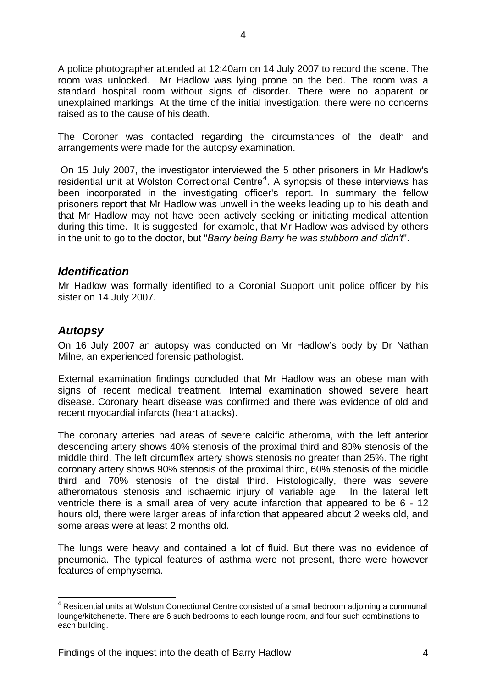<span id="page-5-0"></span>A police photographer attended at 12:40am on 14 July 2007 to record the scene. The room was unlocked. Mr Hadlow was lying prone on the bed. The room was a standard hospital room without signs of disorder. There were no apparent or unexplained markings. At the time of the initial investigation, there were no concerns raised as to the cause of his death.

The Coroner was contacted regarding the circumstances of the death and arrangements were made for the autopsy examination.

 On 15 July 2007, the investigator interviewed the 5 other prisoners in Mr Hadlow's residential unit at Wolston Correctional Centre $4$ . A synopsis of these interviews has been incorporated in the investigating officer's report. In summary the fellow prisoners report that Mr Hadlow was unwell in the weeks leading up to his death and that Mr Hadlow may not have been actively seeking or initiating medical attention during this time. It is suggested, for example, that Mr Hadlow was advised by others in the unit to go to the doctor, but "*Barry being Barry he was stubborn and didn't*".

#### *Identification*

Mr Hadlow was formally identified to a Coronial Support unit police officer by his sister on 14 July 2007.

#### *Autopsy*

l

On 16 July 2007 an autopsy was conducted on Mr Hadlow's body by Dr Nathan Milne, an experienced forensic pathologist.

External examination findings concluded that Mr Hadlow was an obese man with signs of recent medical treatment. Internal examination showed severe heart disease. Coronary heart disease was confirmed and there was evidence of old and recent myocardial infarcts (heart attacks).

The coronary arteries had areas of severe calcific atheroma, with the left anterior descending artery shows 40% stenosis of the proximal third and 80% stenosis of the middle third. The left circumflex artery shows stenosis no greater than 25%. The right coronary artery shows 90% stenosis of the proximal third, 60% stenosis of the middle third and 70% stenosis of the distal third. Histologically, there was severe atheromatous stenosis and ischaemic injury of variable age. In the lateral left ventricle there is a small area of very acute infarction that appeared to be 6 - 12 hours old, there were larger areas of infarction that appeared about 2 weeks old, and some areas were at least 2 months old.

The lungs were heavy and contained a lot of fluid. But there was no evidence of pneumonia. The typical features of asthma were not present, there were however features of emphysema.

<span id="page-5-1"></span><sup>&</sup>lt;sup>4</sup> Residential units at Wolston Correctional Centre consisted of a small bedroom adjoining a communal lounge/kitchenette. There are 6 such bedrooms to each lounge room, and four such combinations to each building.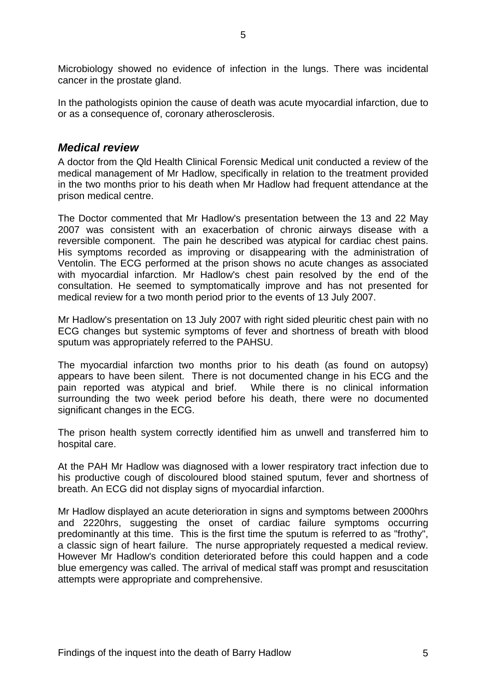<span id="page-6-0"></span>Microbiology showed no evidence of infection in the lungs. There was incidental cancer in the prostate gland.

In the pathologists opinion the cause of death was acute myocardial infarction, due to or as a consequence of, coronary atherosclerosis.

#### *Medical review*

A doctor from the Qld Health Clinical Forensic Medical unit conducted a review of the medical management of Mr Hadlow, specifically in relation to the treatment provided in the two months prior to his death when Mr Hadlow had frequent attendance at the prison medical centre.

The Doctor commented that Mr Hadlow's presentation between the 13 and 22 May 2007 was consistent with an exacerbation of chronic airways disease with a reversible component. The pain he described was atypical for cardiac chest pains. His symptoms recorded as improving or disappearing with the administration of Ventolin. The ECG performed at the prison shows no acute changes as associated with myocardial infarction. Mr Hadlow's chest pain resolved by the end of the consultation. He seemed to symptomatically improve and has not presented for medical review for a two month period prior to the events of 13 July 2007.

Mr Hadlow's presentation on 13 July 2007 with right sided pleuritic chest pain with no ECG changes but systemic symptoms of fever and shortness of breath with blood sputum was appropriately referred to the PAHSU.

The myocardial infarction two months prior to his death (as found on autopsy) appears to have been silent. There is not documented change in his ECG and the pain reported was atypical and brief. While there is no clinical information surrounding the two week period before his death, there were no documented significant changes in the ECG.

The prison health system correctly identified him as unwell and transferred him to hospital care.

At the PAH Mr Hadlow was diagnosed with a lower respiratory tract infection due to his productive cough of discoloured blood stained sputum, fever and shortness of breath. An ECG did not display signs of myocardial infarction.

Mr Hadlow displayed an acute deterioration in signs and symptoms between 2000hrs and 2220hrs, suggesting the onset of cardiac failure symptoms occurring predominantly at this time. This is the first time the sputum is referred to as "frothy", a classic sign of heart failure. The nurse appropriately requested a medical review. However Mr Hadlow's condition deteriorated before this could happen and a code blue emergency was called. The arrival of medical staff was prompt and resuscitation attempts were appropriate and comprehensive.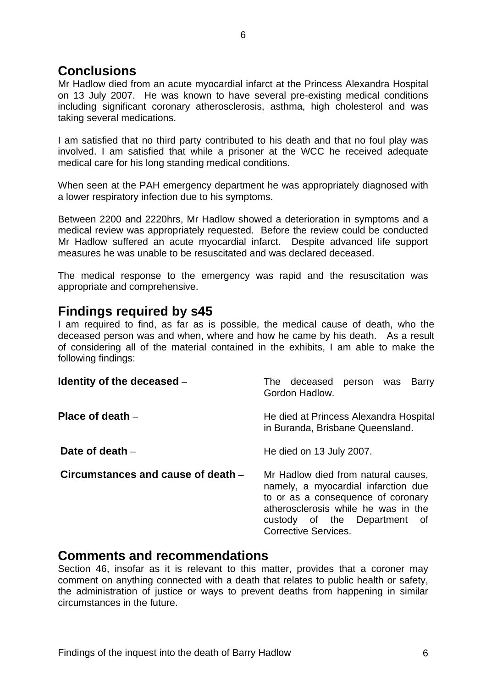## <span id="page-7-0"></span>**Conclusions**

Mr Hadlow died from an acute myocardial infarct at the Princess Alexandra Hospital on 13 July 2007. He was known to have several pre-existing medical conditions including significant coronary atherosclerosis, asthma, high cholesterol and was taking several medications.

I am satisfied that no third party contributed to his death and that no foul play was involved. I am satisfied that while a prisoner at the WCC he received adequate medical care for his long standing medical conditions.

When seen at the PAH emergency department he was appropriately diagnosed with a lower respiratory infection due to his symptoms.

Between 2200 and 2220hrs, Mr Hadlow showed a deterioration in symptoms and a medical review was appropriately requested. Before the review could be conducted Mr Hadlow suffered an acute myocardial infarct. Despite advanced life support measures he was unable to be resuscitated and was declared deceased.

The medical response to the emergency was rapid and the resuscitation was appropriate and comprehensive.

## **Findings required by s45**

I am required to find, as far as is possible, the medical cause of death, who the deceased person was and when, where and how he came by his death. As a result of considering all of the material contained in the exhibits, I am able to make the following findings:

| Identity of the deceased -         | deceased<br>person was<br>The<br>Barry<br>Gordon Hadlow.                                                                                                                                                               |
|------------------------------------|------------------------------------------------------------------------------------------------------------------------------------------------------------------------------------------------------------------------|
| Place of death $-$                 | He died at Princess Alexandra Hospital<br>in Buranda, Brisbane Queensland.                                                                                                                                             |
| Date of death -                    | He died on 13 July 2007.                                                                                                                                                                                               |
| Circumstances and cause of death - | Mr Hadlow died from natural causes,<br>namely, a myocardial infarction due<br>to or as a consequence of coronary<br>atherosclerosis while he was in the<br>custody of the Department of<br><b>Corrective Services.</b> |

### **Comments and recommendations**

Section 46, insofar as it is relevant to this matter, provides that a coroner may comment on anything connected with a death that relates to public health or safety, the administration of justice or ways to prevent deaths from happening in similar circumstances in the future.